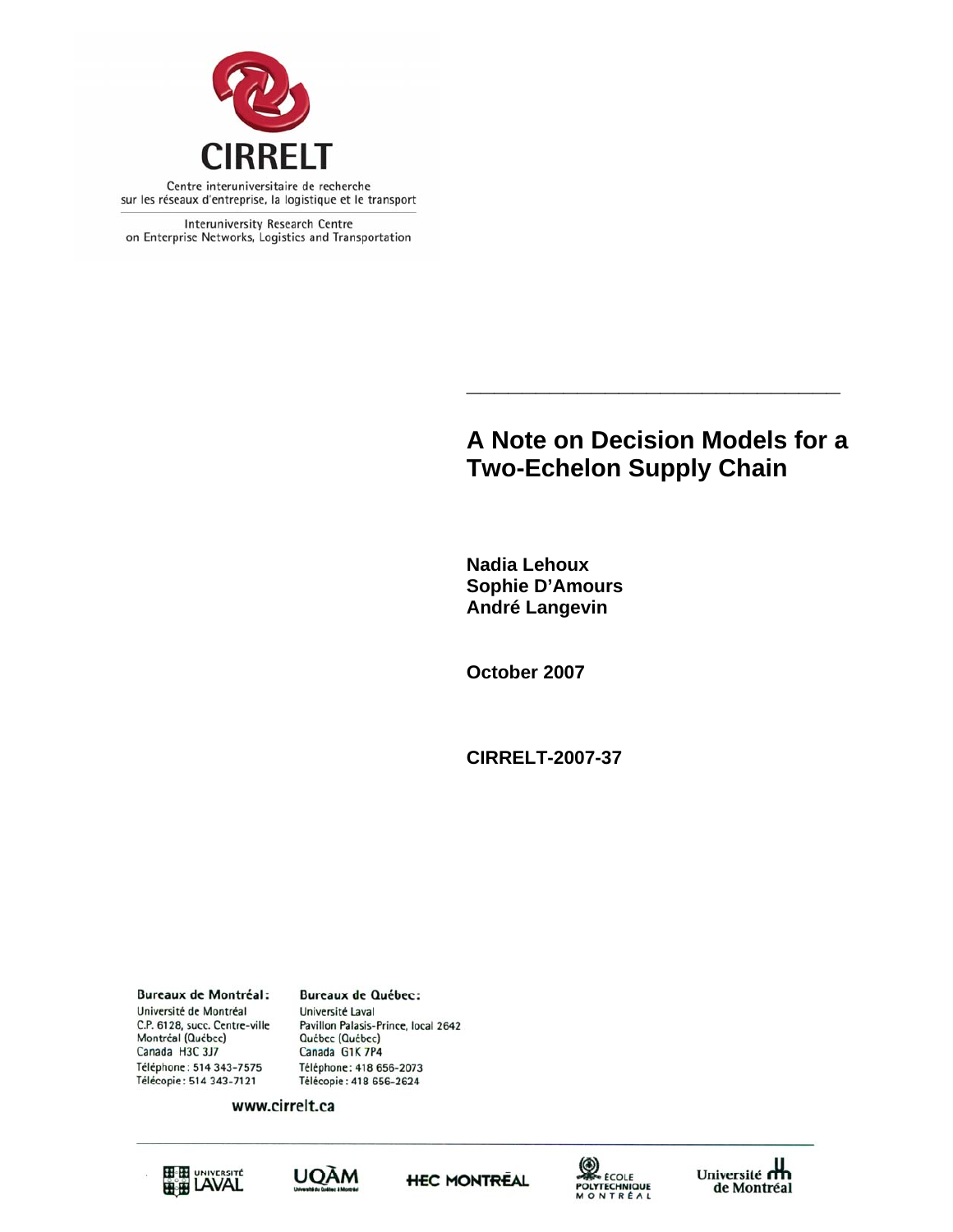

Interuniversity Research Centre on Enterprise Networks, Logistics and Transportation

# **A Note on Decision Models for a Two-Echelon Supply Chain**

**\_\_\_\_\_\_\_\_\_\_\_\_\_\_\_\_\_\_\_\_\_\_\_\_\_\_\_** 

**Nadia Lehoux Sophie D'Amours André Langevin** 

**October 2007** 

**CIRRELT-2007-37** 

**Bureaux de Montréal:** Université de Montréal C.P. 6128, succ. Centre-ville Montréal (Québec) Canada H3C 3J7 Téléphone: 514 343-7575 Télécopie: 514 343-7121

**Bureaux de Québec:** Université Laval Pavillon Palasis-Prince, local 2642 Québec (Québec) Canada G1K 7P4 Téléphone: 418 656-2073 Télécopie: 418 656-2624

www.cirrelt.ca









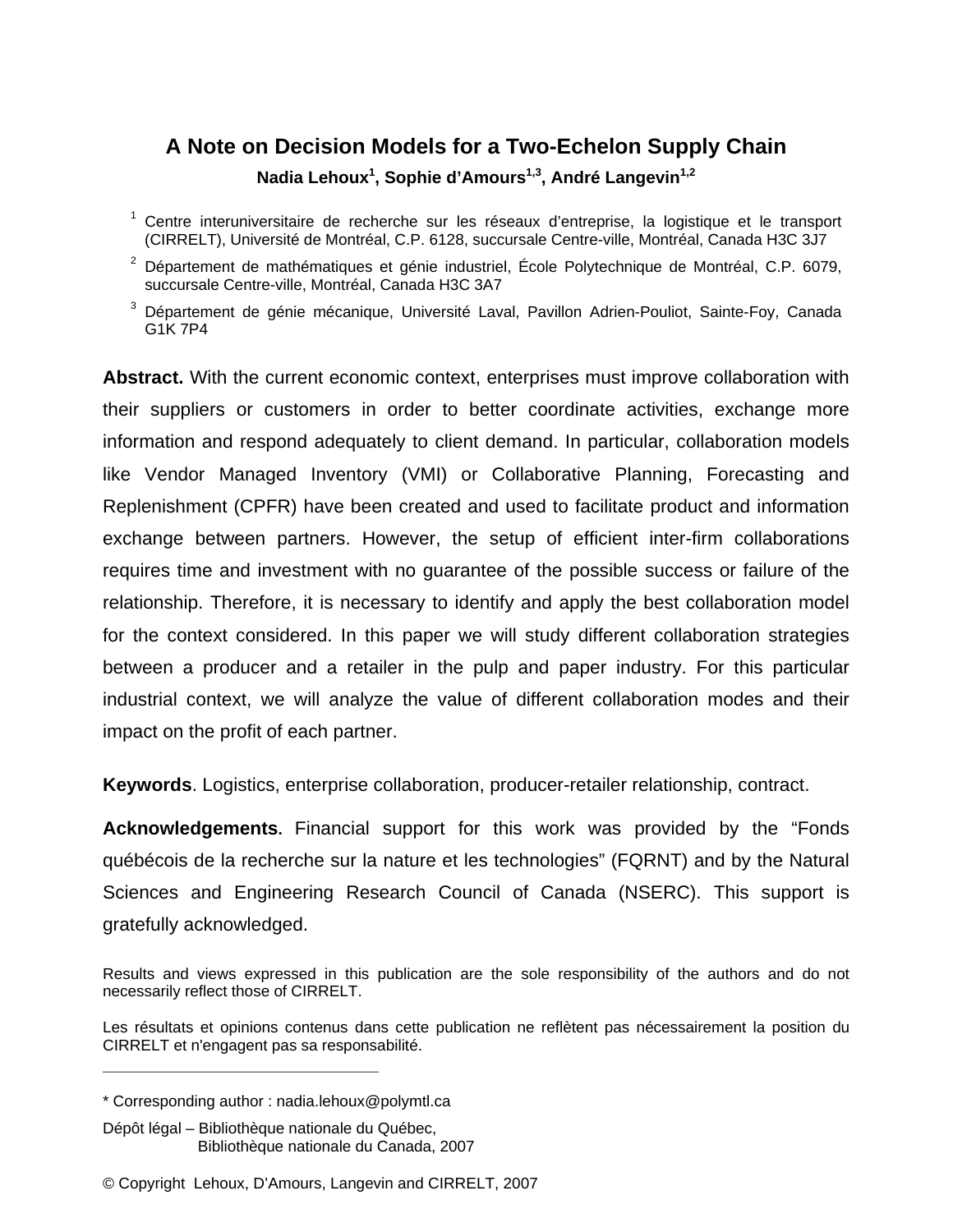# **A Note on Decision Models for a Two-Echelon Supply Chain Nadia Lehoux<sup>1</sup> , Sophie d'Amours1,3, André Langevin1,2**

- <sup>1</sup> Centre interuniversitaire de recherche sur les réseaux d'entreprise, la logistique et le transport (CIRRELT), Université de Montréal, C.P. 6128, succursale Centre-ville, Montréal, Canada H3C 3J7
- $2$  Département de mathématiques et génie industriel, École Polytechnique de Montréal, C.P. 6079, succursale Centre-ville, Montréal, Canada H3C 3A7
- 3 Département de génie mécanique, Université Laval, Pavillon Adrien-Pouliot, Sainte-Foy, Canada G1K 7P4

**Abstract.** With the current economic context, enterprises must improve collaboration with their suppliers or customers in order to better coordinate activities, exchange more information and respond adequately to client demand. In particular, collaboration models like Vendor Managed Inventory (VMI) or Collaborative Planning, Forecasting and Replenishment (CPFR) have been created and used to facilitate product and information exchange between partners. However, the setup of efficient inter-firm collaborations requires time and investment with no guarantee of the possible success or failure of the relationship. Therefore, it is necessary to identify and apply the best collaboration model for the context considered. In this paper we will study different collaboration strategies between a producer and a retailer in the pulp and paper industry. For this particular industrial context, we will analyze the value of different collaboration modes and their impact on the profit of each partner.

**Keywords**. Logistics, enterprise collaboration, producer-retailer relationship, contract.

**Acknowledgements.** Financial support for this work was provided by the "Fonds québécois de la recherche sur la nature et les technologies" (FQRNT) and by the Natural Sciences and Engineering Research Council of Canada (NSERC). This support is gratefully acknowledged.

**\_\_\_\_\_\_\_\_\_\_\_\_\_\_\_\_\_\_\_\_\_\_\_\_\_\_\_\_\_**

Results and views expressed in this publication are the sole responsibility of the authors and do not necessarily reflect those of CIRRELT.

Les résultats et opinions contenus dans cette publication ne reflètent pas nécessairement la position du CIRRELT et n'engagent pas sa responsabilité.

<sup>\*</sup> Corresponding author : nadia.lehoux@polymtl.ca

Dépôt légal – Bibliothèque nationale du Québec, Bibliothèque nationale du Canada, 2007

<sup>©</sup> Copyright Lehoux, D'Amours, Langevin and CIRRELT, 2007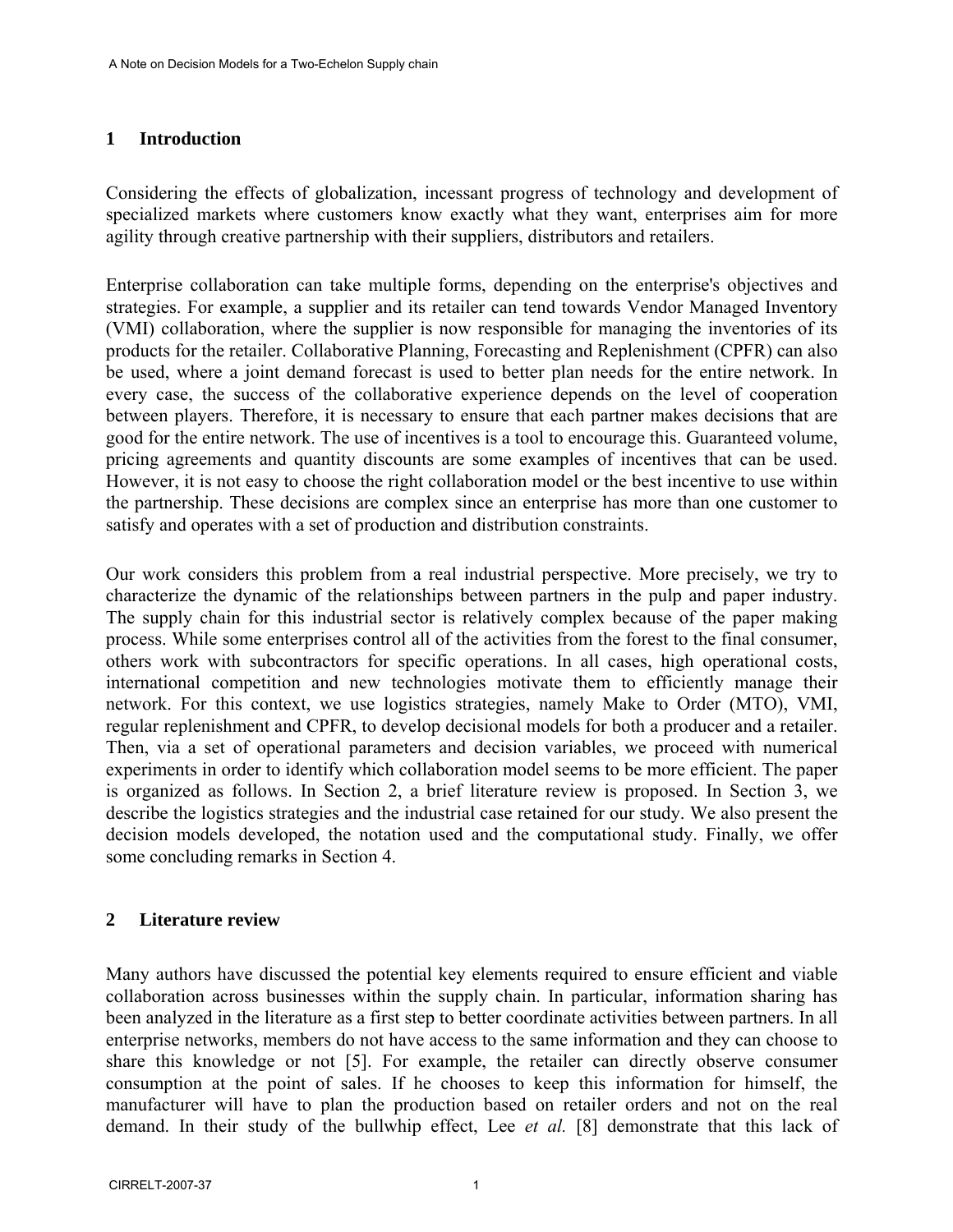#### **1 Introduction**

Considering the effects of globalization, incessant progress of technology and development of specialized markets where customers know exactly what they want, enterprises aim for more agility through creative partnership with their suppliers, distributors and retailers.

Enterprise collaboration can take multiple forms, depending on the enterprise's objectives and strategies. For example, a supplier and its retailer can tend towards Vendor Managed Inventory (VMI) collaboration, where the supplier is now responsible for managing the inventories of its products for the retailer. Collaborative Planning, Forecasting and Replenishment (CPFR) can also be used, where a joint demand forecast is used to better plan needs for the entire network. In every case, the success of the collaborative experience depends on the level of cooperation between players. Therefore, it is necessary to ensure that each partner makes decisions that are good for the entire network. The use of incentives is a tool to encourage this. Guaranteed volume, pricing agreements and quantity discounts are some examples of incentives that can be used. However, it is not easy to choose the right collaboration model or the best incentive to use within the partnership. These decisions are complex since an enterprise has more than one customer to satisfy and operates with a set of production and distribution constraints.

Our work considers this problem from a real industrial perspective. More precisely, we try to characterize the dynamic of the relationships between partners in the pulp and paper industry. The supply chain for this industrial sector is relatively complex because of the paper making process. While some enterprises control all of the activities from the forest to the final consumer, others work with subcontractors for specific operations. In all cases, high operational costs, international competition and new technologies motivate them to efficiently manage their network. For this context, we use logistics strategies, namely Make to Order (MTO), VMI, regular replenishment and CPFR, to develop decisional models for both a producer and a retailer. Then, via a set of operational parameters and decision variables, we proceed with numerical experiments in order to identify which collaboration model seems to be more efficient. The paper is organized as follows. In Section 2, a brief literature review is proposed. In Section 3, we describe the logistics strategies and the industrial case retained for our study. We also present the decision models developed, the notation used and the computational study. Finally, we offer some concluding remarks in Section 4.

#### **2 Literature review**

Many authors have discussed the potential key elements required to ensure efficient and viable collaboration across businesses within the supply chain. In particular, information sharing has been analyzed in the literature as a first step to better coordinate activities between partners. In all enterprise networks, members do not have access to the same information and they can choose to share this knowledge or not [5]. For example, the retailer can directly observe consumer consumption at the point of sales. If he chooses to keep this information for himself, the manufacturer will have to plan the production based on retailer orders and not on the real demand. In their study of the bullwhip effect, Lee *et al.* [8] demonstrate that this lack of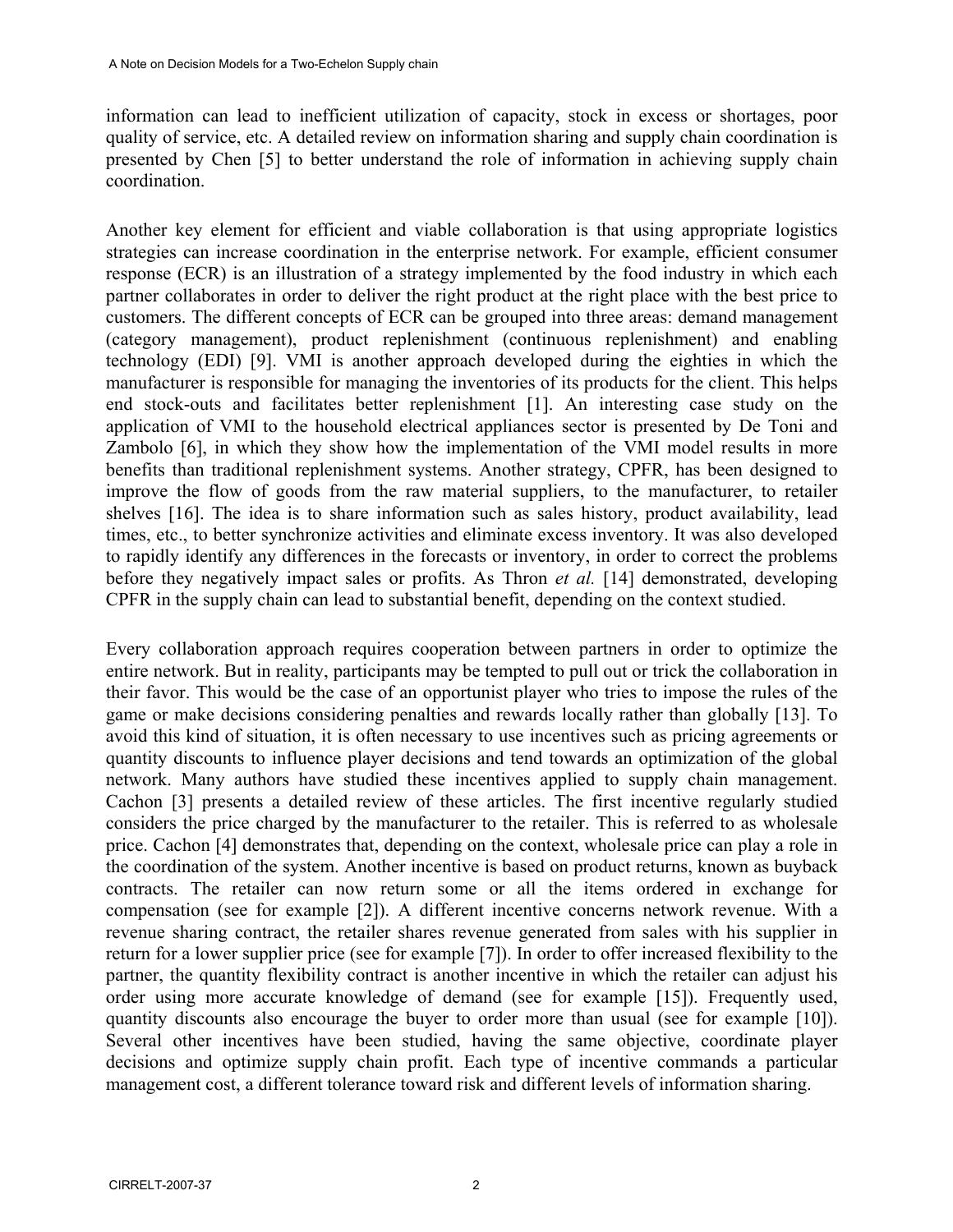information can lead to inefficient utilization of capacity, stock in excess or shortages, poor quality of service, etc. A detailed review on information sharing and supply chain coordination is presented by Chen [5] to better understand the role of information in achieving supply chain coordination.

Another key element for efficient and viable collaboration is that using appropriate logistics strategies can increase coordination in the enterprise network. For example, efficient consumer response (ECR) is an illustration of a strategy implemented by the food industry in which each partner collaborates in order to deliver the right product at the right place with the best price to customers. The different concepts of ECR can be grouped into three areas: demand management (category management), product replenishment (continuous replenishment) and enabling technology (EDI) [9]. VMI is another approach developed during the eighties in which the manufacturer is responsible for managing the inventories of its products for the client. This helps end stock-outs and facilitates better replenishment [1]. An interesting case study on the application of VMI to the household electrical appliances sector is presented by De Toni and Zambolo [6], in which they show how the implementation of the VMI model results in more benefits than traditional replenishment systems. Another strategy, CPFR, has been designed to improve the flow of goods from the raw material suppliers, to the manufacturer, to retailer shelves [16]. The idea is to share information such as sales history, product availability, lead times, etc., to better synchronize activities and eliminate excess inventory. It was also developed to rapidly identify any differences in the forecasts or inventory, in order to correct the problems before they negatively impact sales or profits. As Thron *et al.* [14] demonstrated, developing CPFR in the supply chain can lead to substantial benefit, depending on the context studied.

Every collaboration approach requires cooperation between partners in order to optimize the entire network. But in reality, participants may be tempted to pull out or trick the collaboration in their favor. This would be the case of an opportunist player who tries to impose the rules of the game or make decisions considering penalties and rewards locally rather than globally [13]. To avoid this kind of situation, it is often necessary to use incentives such as pricing agreements or quantity discounts to influence player decisions and tend towards an optimization of the global network. Many authors have studied these incentives applied to supply chain management. Cachon [3] presents a detailed review of these articles. The first incentive regularly studied considers the price charged by the manufacturer to the retailer. This is referred to as wholesale price. Cachon [4] demonstrates that, depending on the context, wholesale price can play a role in the coordination of the system. Another incentive is based on product returns, known as buyback contracts. The retailer can now return some or all the items ordered in exchange for compensation (see for example [2]). A different incentive concerns network revenue. With a revenue sharing contract, the retailer shares revenue generated from sales with his supplier in return for a lower supplier price (see for example [7]). In order to offer increased flexibility to the partner, the quantity flexibility contract is another incentive in which the retailer can adjust his order using more accurate knowledge of demand (see for example [15]). Frequently used, quantity discounts also encourage the buyer to order more than usual (see for example [10]). Several other incentives have been studied, having the same objective, coordinate player decisions and optimize supply chain profit. Each type of incentive commands a particular management cost, a different tolerance toward risk and different levels of information sharing.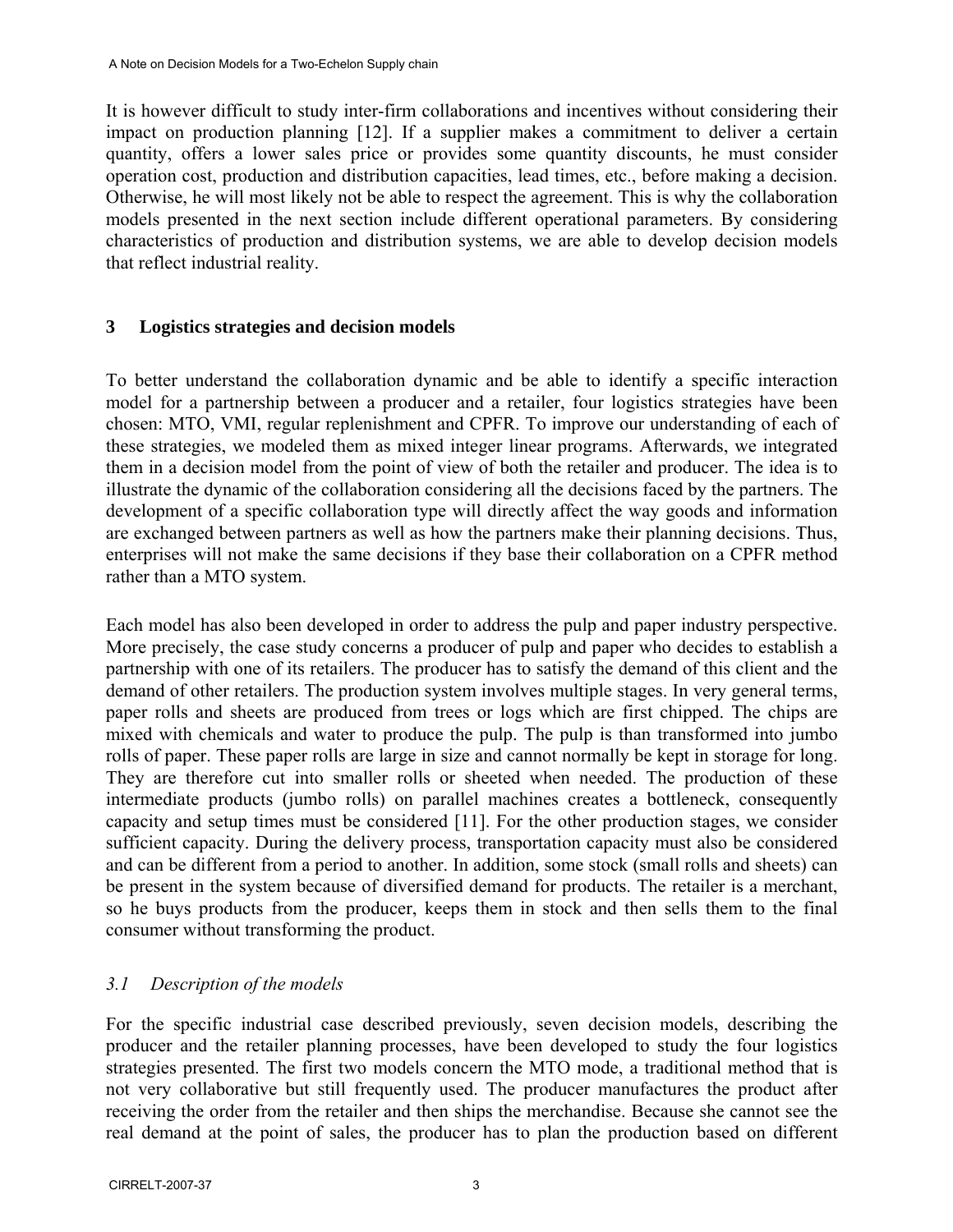It is however difficult to study inter-firm collaborations and incentives without considering their impact on production planning [12]. If a supplier makes a commitment to deliver a certain quantity, offers a lower sales price or provides some quantity discounts, he must consider operation cost, production and distribution capacities, lead times, etc., before making a decision. Otherwise, he will most likely not be able to respect the agreement. This is why the collaboration models presented in the next section include different operational parameters. By considering characteristics of production and distribution systems, we are able to develop decision models that reflect industrial reality.

### **3 Logistics strategies and decision models**

To better understand the collaboration dynamic and be able to identify a specific interaction model for a partnership between a producer and a retailer, four logistics strategies have been chosen: MTO, VMI, regular replenishment and CPFR. To improve our understanding of each of these strategies, we modeled them as mixed integer linear programs. Afterwards, we integrated them in a decision model from the point of view of both the retailer and producer. The idea is to illustrate the dynamic of the collaboration considering all the decisions faced by the partners. The development of a specific collaboration type will directly affect the way goods and information are exchanged between partners as well as how the partners make their planning decisions. Thus, enterprises will not make the same decisions if they base their collaboration on a CPFR method rather than a MTO system.

Each model has also been developed in order to address the pulp and paper industry perspective. More precisely, the case study concerns a producer of pulp and paper who decides to establish a partnership with one of its retailers. The producer has to satisfy the demand of this client and the demand of other retailers. The production system involves multiple stages. In very general terms, paper rolls and sheets are produced from trees or logs which are first chipped. The chips are mixed with chemicals and water to produce the pulp. The pulp is than transformed into jumbo rolls of paper. These paper rolls are large in size and cannot normally be kept in storage for long. They are therefore cut into smaller rolls or sheeted when needed. The production of these intermediate products (jumbo rolls) on parallel machines creates a bottleneck, consequently capacity and setup times must be considered [11]. For the other production stages, we consider sufficient capacity. During the delivery process, transportation capacity must also be considered and can be different from a period to another. In addition, some stock (small rolls and sheets) can be present in the system because of diversified demand for products. The retailer is a merchant, so he buys products from the producer, keeps them in stock and then sells them to the final consumer without transforming the product.

## *3.1 Description of the models*

For the specific industrial case described previously, seven decision models, describing the producer and the retailer planning processes, have been developed to study the four logistics strategies presented. The first two models concern the MTO mode, a traditional method that is not very collaborative but still frequently used. The producer manufactures the product after receiving the order from the retailer and then ships the merchandise. Because she cannot see the real demand at the point of sales, the producer has to plan the production based on different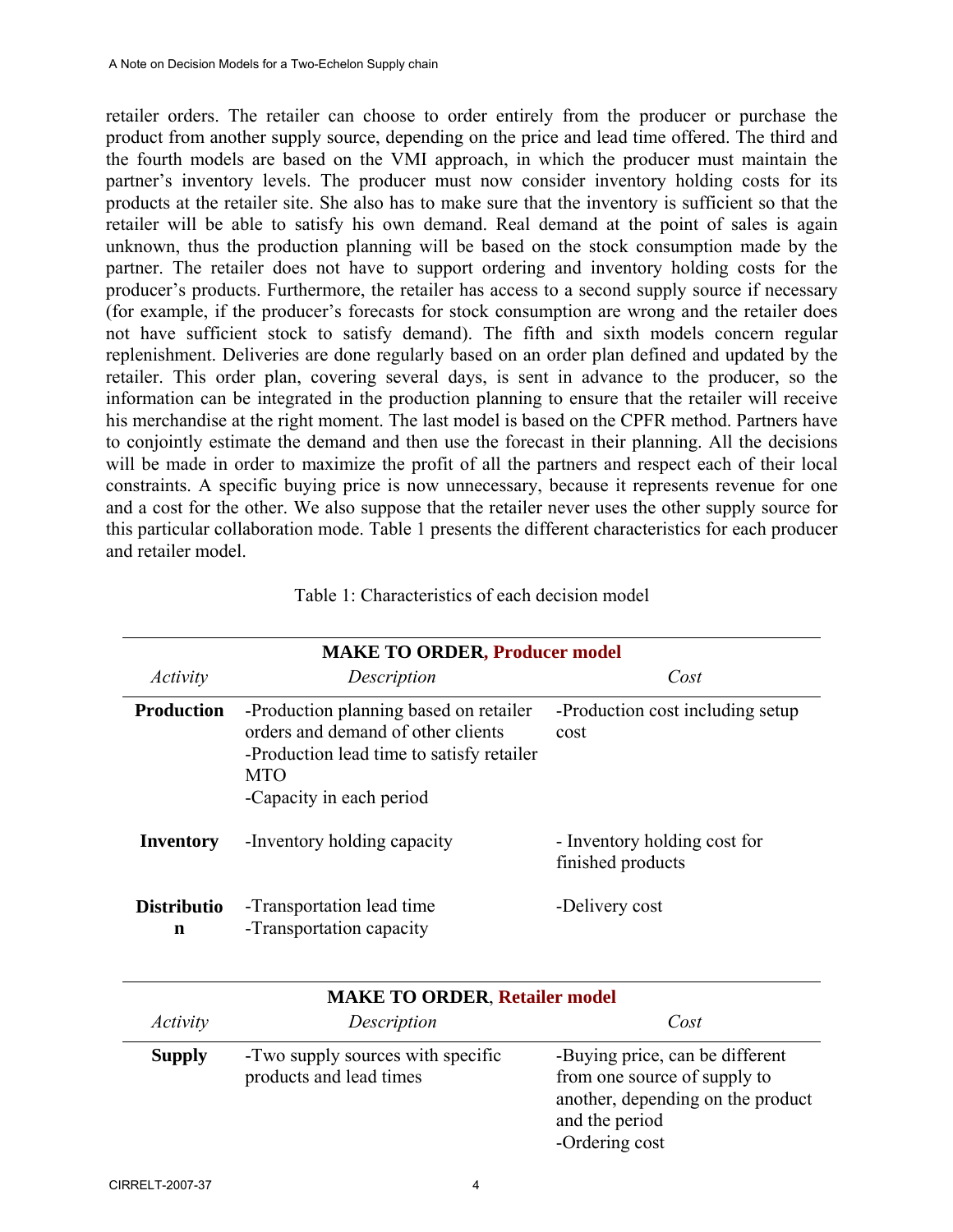retailer orders. The retailer can choose to order entirely from the producer or purchase the product from another supply source, depending on the price and lead time offered. The third and the fourth models are based on the VMI approach, in which the producer must maintain the partner's inventory levels. The producer must now consider inventory holding costs for its products at the retailer site. She also has to make sure that the inventory is sufficient so that the retailer will be able to satisfy his own demand. Real demand at the point of sales is again unknown, thus the production planning will be based on the stock consumption made by the partner. The retailer does not have to support ordering and inventory holding costs for the producer's products. Furthermore, the retailer has access to a second supply source if necessary (for example, if the producer's forecasts for stock consumption are wrong and the retailer does not have sufficient stock to satisfy demand). The fifth and sixth models concern regular replenishment. Deliveries are done regularly based on an order plan defined and updated by the retailer. This order plan, covering several days, is sent in advance to the producer, so the information can be integrated in the production planning to ensure that the retailer will receive his merchandise at the right moment. The last model is based on the CPFR method. Partners have to conjointly estimate the demand and then use the forecast in their planning. All the decisions will be made in order to maximize the profit of all the partners and respect each of their local constraints. A specific buying price is now unnecessary, because it represents revenue for one and a cost for the other. We also suppose that the retailer never uses the other supply source for this particular collaboration mode. Table 1 presents the different characteristics for each producer and retailer model.

| <b>MAKE TO ORDER, Producer model</b> |                                                                                                                                                                     |                                                   |  |
|--------------------------------------|---------------------------------------------------------------------------------------------------------------------------------------------------------------------|---------------------------------------------------|--|
| Activity                             | Description                                                                                                                                                         | Cost                                              |  |
| <b>Production</b>                    | -Production planning based on retailer<br>orders and demand of other clients<br>-Production lead time to satisfy retailer<br><b>MTO</b><br>-Capacity in each period | -Production cost including setup<br>cost          |  |
| Inventory                            | -Inventory holding capacity                                                                                                                                         | - Inventory holding cost for<br>finished products |  |
| <b>Distributio</b><br>n              | -Transportation lead time<br>-Transportation capacity                                                                                                               | -Delivery cost                                    |  |

| <b>MAKE TO ORDER, Retailer model</b> |                                                              |                                                                                                                                          |  |
|--------------------------------------|--------------------------------------------------------------|------------------------------------------------------------------------------------------------------------------------------------------|--|
| <i>Activity</i>                      | Description                                                  | Cost                                                                                                                                     |  |
| <b>Supply</b>                        | -Two supply sources with specific<br>products and lead times | -Buying price, can be different<br>from one source of supply to<br>another, depending on the product<br>and the period<br>-Ordering cost |  |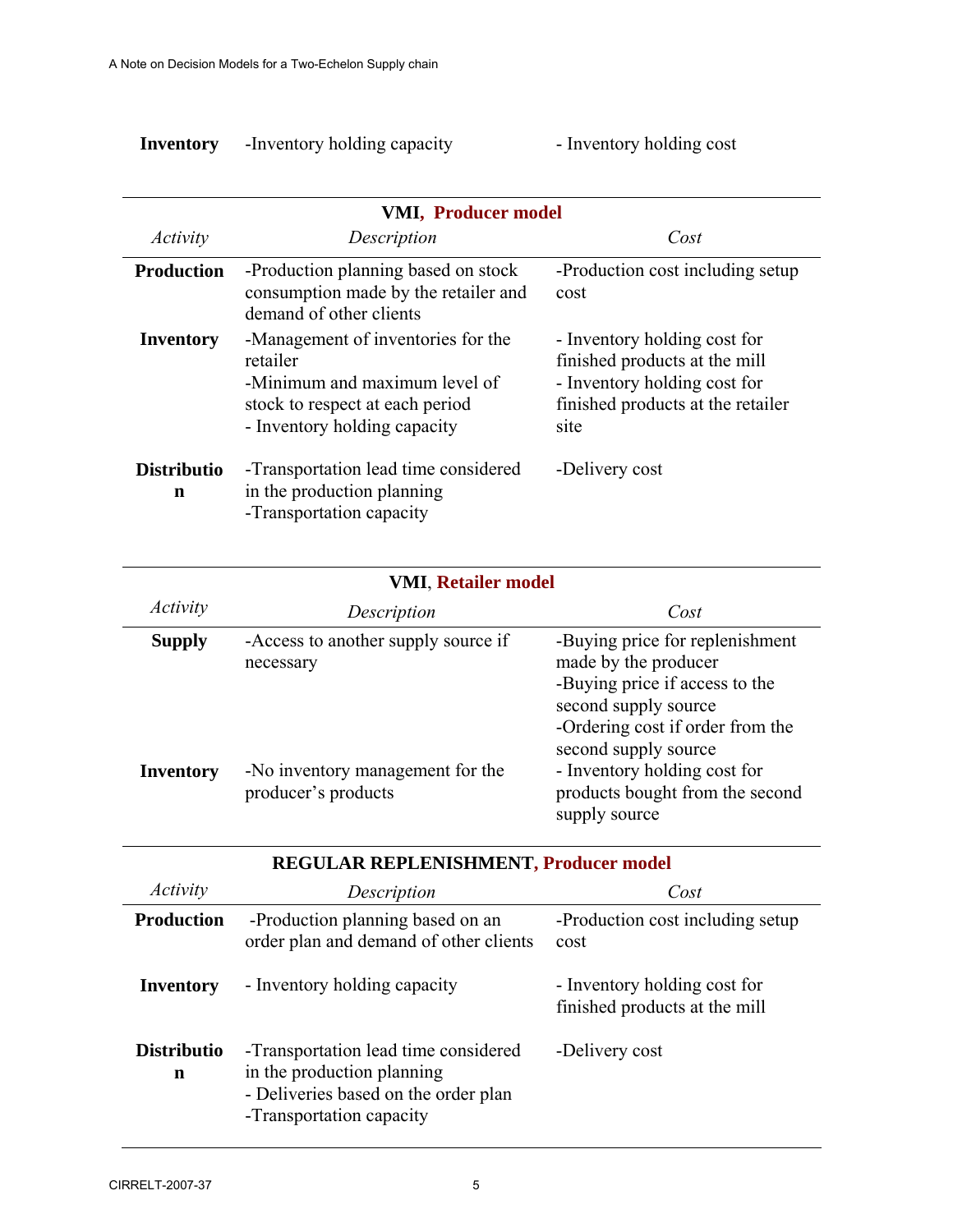| Inventory | -Inventory holding capacity |  |
|-----------|-----------------------------|--|
|           |                             |  |

# **Inventory** -Inventory holding capacity - Inventory holding cost

| <b>VMI, Producer model</b> |                                                                                                                                                    |                                                                                                                                            |  |
|----------------------------|----------------------------------------------------------------------------------------------------------------------------------------------------|--------------------------------------------------------------------------------------------------------------------------------------------|--|
| Activity                   | Description                                                                                                                                        | Cost                                                                                                                                       |  |
| <b>Production</b>          | -Production planning based on stock<br>consumption made by the retailer and<br>demand of other clients                                             | -Production cost including setup<br>cost                                                                                                   |  |
| Inventory                  | -Management of inventories for the<br>retailer<br>-Minimum and maximum level of<br>stock to respect at each period<br>- Inventory holding capacity | - Inventory holding cost for<br>finished products at the mill<br>- Inventory holding cost for<br>finished products at the retailer<br>site |  |
| <b>Distributio</b><br>n    | -Transportation lead time considered<br>in the production planning<br>-Transportation capacity                                                     | -Delivery cost                                                                                                                             |  |

| <b>VMI, Retailer model</b> |                                                         |                                                                                                                                                                               |
|----------------------------|---------------------------------------------------------|-------------------------------------------------------------------------------------------------------------------------------------------------------------------------------|
| <i>Activity</i>            | Description                                             | Cost                                                                                                                                                                          |
| <b>Supply</b>              | -Access to another supply source if<br>necessary        | -Buying price for replenishment<br>made by the producer<br>-Buying price if access to the<br>second supply source<br>-Ordering cost if order from the<br>second supply source |
| <b>Inventory</b>           | -No inventory management for the<br>producer's products | - Inventory holding cost for<br>products bought from the second<br>supply source                                                                                              |

| REGULAR REPLENISHMENT, Producer model |                                                                                                                                        |                                                               |
|---------------------------------------|----------------------------------------------------------------------------------------------------------------------------------------|---------------------------------------------------------------|
| Activity                              | Description                                                                                                                            | Cost                                                          |
| <b>Production</b>                     | -Production planning based on an<br>order plan and demand of other clients                                                             | -Production cost including setup<br>cost                      |
| Inventory                             | - Inventory holding capacity                                                                                                           | - Inventory holding cost for<br>finished products at the mill |
| <b>Distributio</b><br>n               | -Transportation lead time considered<br>in the production planning<br>- Deliveries based on the order plan<br>-Transportation capacity | -Delivery cost                                                |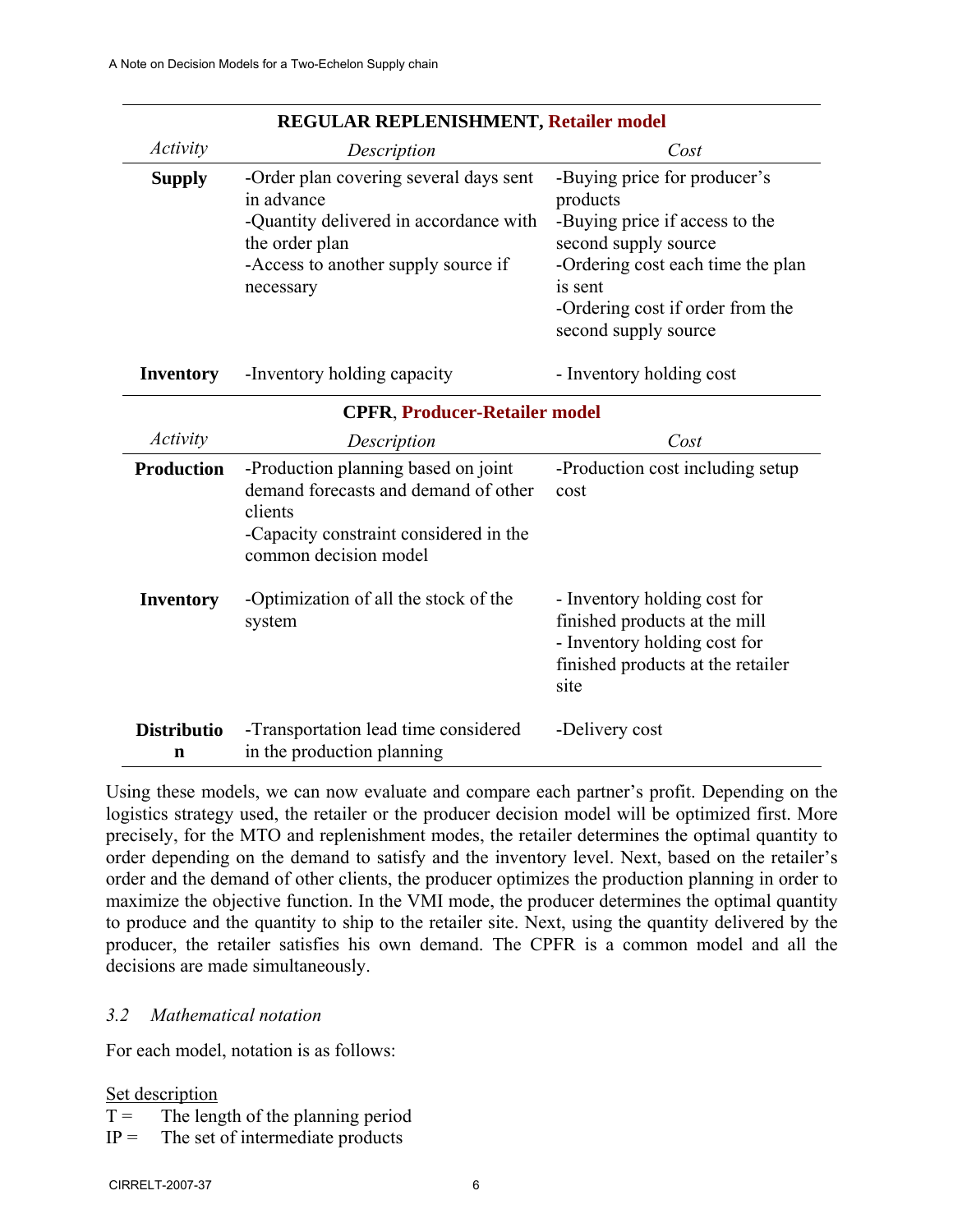| REGULAR REFLENISHMENT, Retailer model |                                                                                                                                                                                                              |                                                                                                                                                                                                                |  |
|---------------------------------------|--------------------------------------------------------------------------------------------------------------------------------------------------------------------------------------------------------------|----------------------------------------------------------------------------------------------------------------------------------------------------------------------------------------------------------------|--|
| Activity                              | Description                                                                                                                                                                                                  | Cost                                                                                                                                                                                                           |  |
| <b>Supply</b>                         | -Order plan covering several days sent<br>in advance<br>-Quantity delivered in accordance with<br>the order plan<br>-Access to another supply source if<br>necessary                                         | -Buying price for producer's<br>products<br>-Buying price if access to the<br>second supply source<br>-Ordering cost each time the plan<br>is sent<br>-Ordering cost if order from the<br>second supply source |  |
| <b>Inventory</b>                      | -Inventory holding capacity                                                                                                                                                                                  | - Inventory holding cost                                                                                                                                                                                       |  |
| <b>CPFR, Producer-Retailer model</b>  |                                                                                                                                                                                                              |                                                                                                                                                                                                                |  |
| <i>Activity</i>                       | Description                                                                                                                                                                                                  | Cost                                                                                                                                                                                                           |  |
| <b>Production</b><br><b>Inventory</b> | -Production planning based on joint<br>demand forecasts and demand of other<br>clients<br>-Capacity constraint considered in the<br>common decision model<br>-Optimization of all the stock of the<br>system | -Production cost including setup<br>cost<br>- Inventory holding cost for<br>finished products at the mill                                                                                                      |  |
| <b>Distributio</b><br>n               | -Transportation lead time considered<br>in the production planning                                                                                                                                           | - Inventory holding cost for<br>finished products at the retailer<br>site<br>-Delivery cost                                                                                                                    |  |

### **REGULAR REPLENISHMENT, Retailer model**

Using these models, we can now evaluate and compare each partner's profit. Depending on the logistics strategy used, the retailer or the producer decision model will be optimized first. More precisely, for the MTO and replenishment modes, the retailer determines the optimal quantity to order depending on the demand to satisfy and the inventory level. Next, based on the retailer's order and the demand of other clients, the producer optimizes the production planning in order to maximize the objective function. In the VMI mode, the producer determines the optimal quantity to produce and the quantity to ship to the retailer site. Next, using the quantity delivered by the producer, the retailer satisfies his own demand. The CPFR is a common model and all the decisions are made simultaneously.

## *3.2 Mathematical notation*

For each model, notation is as follows:

#### Set description

- $T =$  The length of the planning period
- $IP =$  The set of intermediate products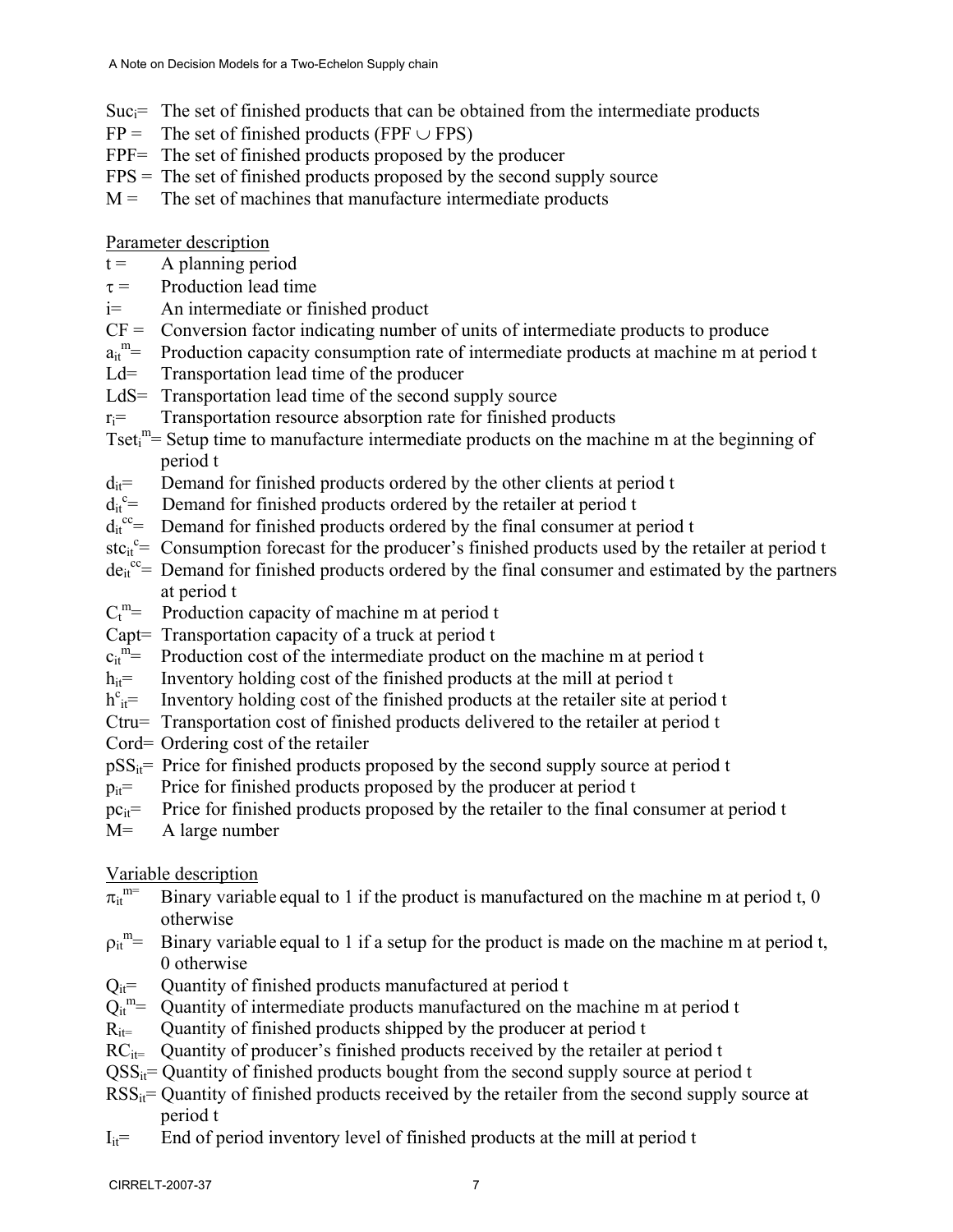- $Suc_i$ = The set of finished products that can be obtained from the intermediate products
- $FP =$  The set of finished products (FPF  $\cup$  FPS)
- FPF= The set of finished products proposed by the producer
- $FPS = The set of finished products proposed by the second supply source$
- $M =$  The set of machines that manufacture intermediate products

Parameter description

- $t =$  A planning period
- $\tau$  = Production lead time
- i= An intermediate or finished product
- $CF =$  Conversion factor indicating number of units of intermediate products to produce
- $a_{it}^{\text{m}}=$ Production capacity consumption rate of intermediate products at machine m at period t
- Ld= Transportation lead time of the producer
- LdS= Transportation lead time of the second supply source
- $r_i$ = Transportation resource absorption rate for finished products
- Tset<sub>i</sub><sup>m</sup>= Setup time to manufacture intermediate products on the machine m at the beginning of period t
- $d_{it}$ = Demand for finished products ordered by the other clients at period t
- $d_{it}^{\ c}$ Demand for finished products ordered by the retailer at period t
- $d_{it}^{cc}$  Demand for finished products ordered by the final consumer at period t
- stc<sub>it</sub><sup>c</sup>= Consumption forecast for the producer's finished products used by the retailer at period t
- $de_i^{\nc}$  Demand for finished products ordered by the final consumer and estimated by the partners at period t
- $C_t^m =$ Production capacity of machine m at period t
- Capt= Transportation capacity of a truck at period t
- $c_{it}$ <sup>m<sup>=</sup></sup> Production cost of the intermediate product on the machine m at period t
- $h_{it}$ = Inventory holding cost of the finished products at the mill at period t
- $h^{c}_{it}$ = Inventory holding cost of the finished products at the retailer site at period t
- Ctru= Transportation cost of finished products delivered to the retailer at period t
- Cord= Ordering cost of the retailer
- $pSS_{it}$ = Price for finished products proposed by the second supply source at period t
- $p_{it}$ = Price for finished products proposed by the producer at period t
- $pc_{it}$  Price for finished products proposed by the retailer to the final consumer at period t
- M= A large number

# Variable description

- $\pi_{it}^{m=}$ Binary variable equal to 1 if the product is manufactured on the machine m at period t,  $0$ otherwise
- $p_{it}^{\text{m}}=$ Binary variable equal to 1 if a setup for the product is made on the machine m at period t, 0 otherwise
- $Q_{it}$ = Quantity of finished products manufactured at period t
- $Q_{it}^{m}$  = Quantity of intermediate products manufactured on the machine m at period t
- $R_{it}$  Quantity of finished products shipped by the producer at period t
- $RC_{it}$  Quantity of producer's finished products received by the retailer at period t
- $QSS_{it}$  Quantity of finished products bought from the second supply source at period t
- $RSS_{it}$  = Quantity of finished products received by the retailer from the second supply source at period t
- $I_{it}$ = End of period inventory level of finished products at the mill at period t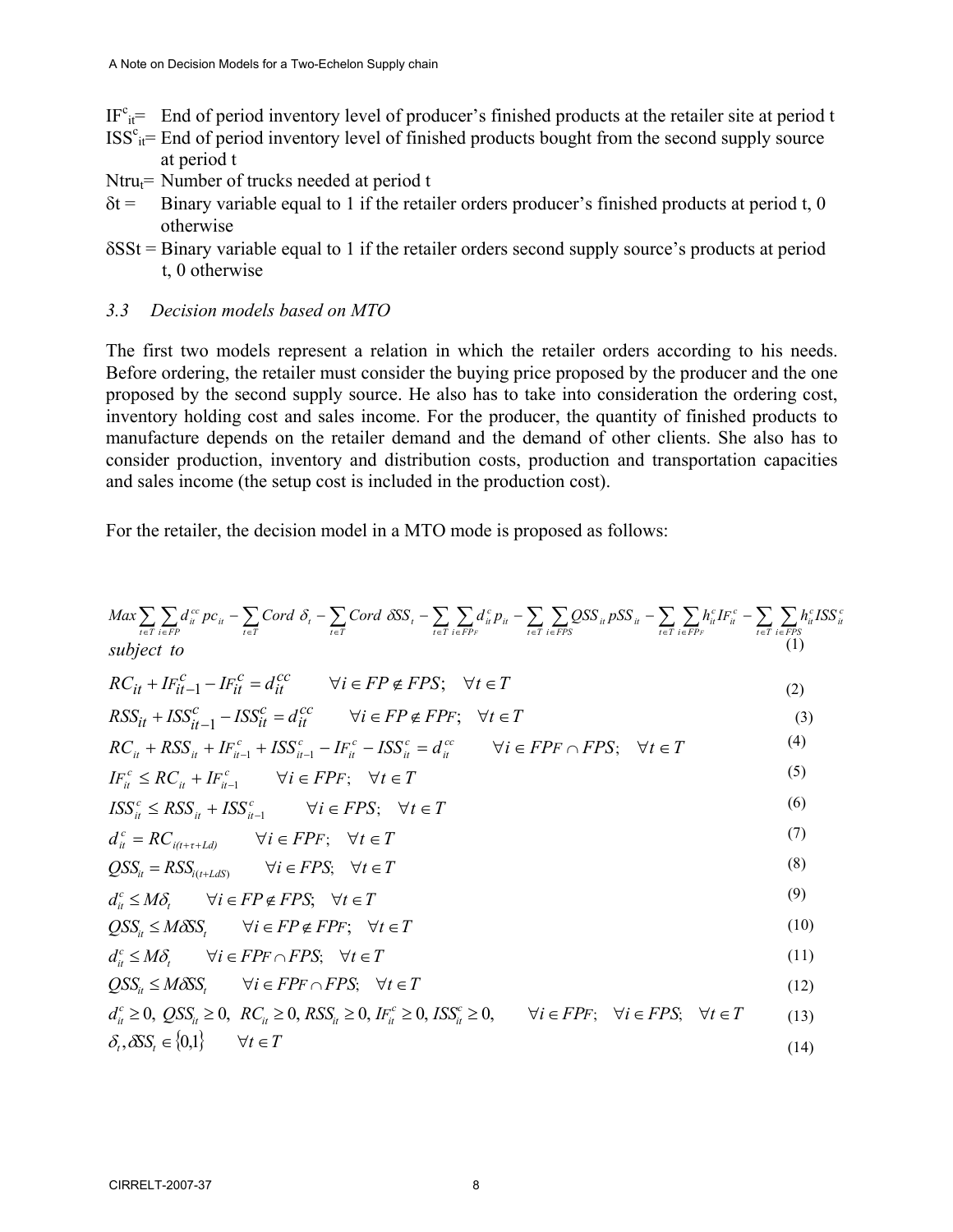$IF<sup>c</sup><sub>it</sub> =$  End of period inventory level of producer's finished products at the retailer site at period t

- $ISS<sup>c</sup><sub>it</sub> = End of period inventory level of finished products bought from the second supply source$ at period t
- Ntru $_t$ = Number of trucks needed at period t
- $\delta t$  = Binary variable equal to 1 if the retailer orders producer's finished products at period t, 0 otherwise
- δSSt = Binary variable equal to 1 if the retailer orders second supply source's products at period t, 0 otherwise

#### *3.3 Decision models based on MTO*

The first two models represent a relation in which the retailer orders according to his needs. Before ordering, the retailer must consider the buying price proposed by the producer and the one proposed by the second supply source. He also has to take into consideration the ordering cost, inventory holding cost and sales income. For the producer, the quantity of finished products to manufacture depends on the retailer demand and the demand of other clients. She also has to consider production, inventory and distribution costs, production and transportation capacities and sales income (the setup cost is included in the production cost).

*c it*

For the retailer, the decision model in a MTO mode is proposed as follows:

$$
Max \sum_{i \in T} \sum_{i \in F} d_i^{\alpha} pc_{ii} - \sum_{i \in T} Cord \delta_i - \sum_{i \in T} Cord \delta S_s - \sum_{i \in T} \sum_{i \in FPR} d_i^{\alpha} p_{ii} - \sum_{i \in T} \sum_{i \in FPR} SSS_{ii} pSS_{ii} - \sum_{i \in T} \sum_{i \in FPR} h_i^{\alpha} L_i^{\alpha} - \sum_{i \in T} \sum_{i \in FPS} h_i^{\alpha} LSS
$$
\n
$$
subject \ to
$$
\n
$$
RC_{it} + I F_{it-1}^c - I F_{it}^c = d_{it}^{cc} \qquad \forall i \in FP \notin FPS; \quad \forall t \in T
$$
\n
$$
RCS_{it} + I S S_{it}^c - I S S_{it}^c = d_{it}^{cc} \qquad \forall i \in FP \notin FPF; \quad \forall t \in T
$$
\n
$$
I F_{it}^c \leq RC_{it} + I F_{it-1}^c + I S S_{it-1}^c - I F_{it}^c - I S S_{it}^c = d_{it}^{cc} \qquad \forall i \in FPF \cap FPS; \quad \forall t \in T
$$
\n
$$
I S S_{it}^c \leq R S S_{it} + I S S_{it-1}^c \qquad \forall i \in FPF; \quad \forall t \in T
$$
\n
$$
I S S_{it}^c \leq R S S_{it} + I S S_{it-1}^c \qquad \forall i \in FPS; \quad \forall t \in T
$$
\n
$$
QSS_{it} = R S S_{it(t + t L dS)} \qquad \forall i \in FPPS; \quad \forall t \in T
$$
\n
$$
QSS_{it} = R S S_{it} \qquad \forall i \in FPPS; \quad \forall t \in T
$$
\n
$$
QSS_{it} \leq M \delta S, \qquad \forall i \in FPPS; \quad \forall t \in T
$$
\n
$$
QSS_{it} \leq M \delta S, \qquad \forall i \in FP \in FPS; \quad \forall t \in T
$$
\n
$$
Q_{it}^c \leq M \delta S, \qquad \forall i \in FP \cap FPS; \quad \forall t \in T
$$
\n
$$
Q_{it}^c \leq M \delta S, \
$$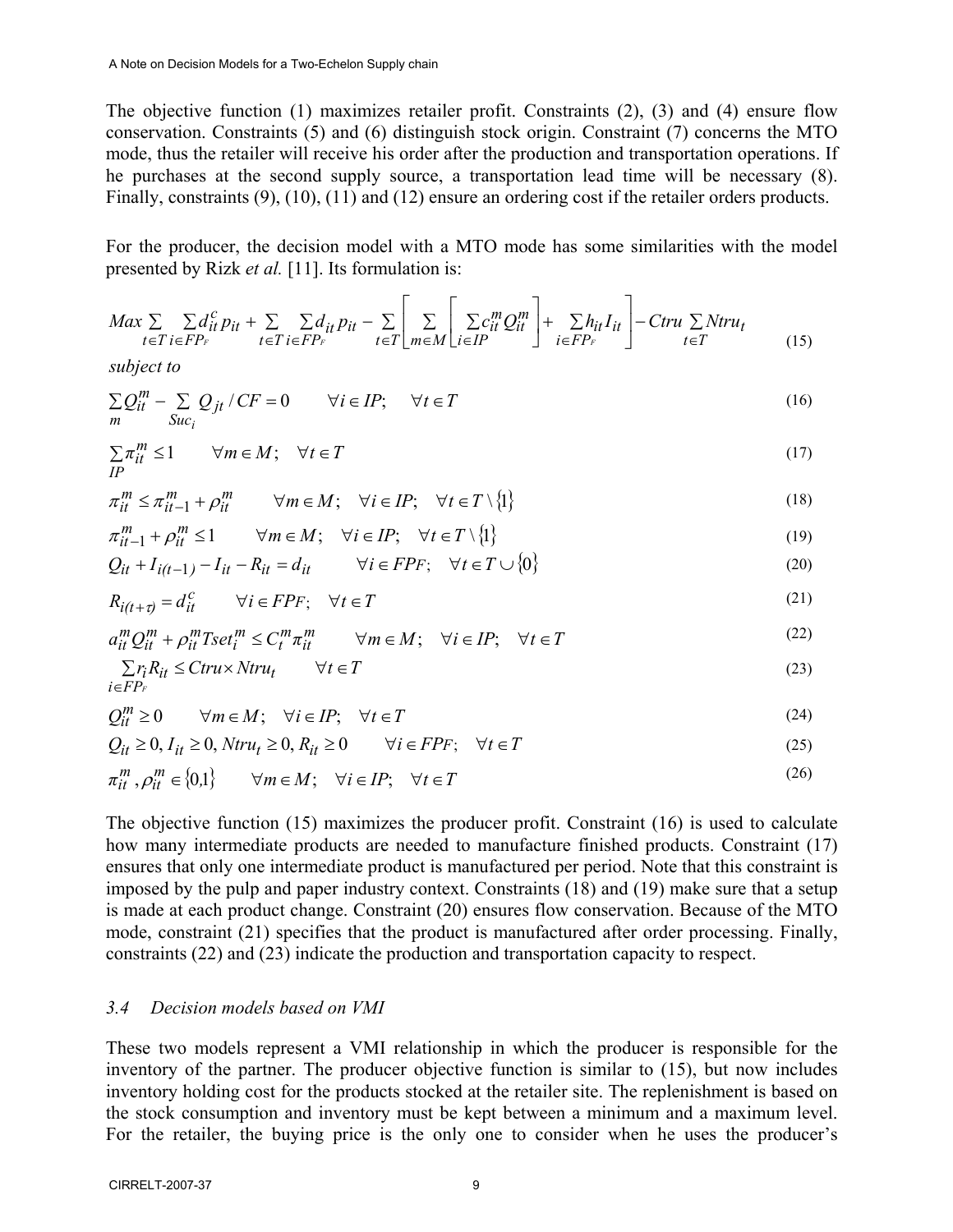The objective function (1) maximizes retailer profit. Constraints (2), (3) and (4) ensure flow conservation. Constraints (5) and (6) distinguish stock origin. Constraint (7) concerns the MTO mode, thus the retailer will receive his order after the production and transportation operations. If he purchases at the second supply source, a transportation lead time will be necessary (8). Finally, constraints (9), (10), (11) and (12) ensure an ordering cost if the retailer orders products.

For the producer, the decision model with a MTO mode has some similarities with the model presented by Rizk *et al.* [11]. Its formulation is:

$$
Max \sum_{t \in T} \sum_{i \in FP_F} d_{it}^c p_{it} + \sum_{t \in T} \sum_{i \in FP_F} d_{it}^c p_{it} - \sum_{t \in T} \left[ \sum_{m \in M} \left[ \sum_{i \in IP} c_{it}^m Q_{it}^m \right] + \sum_{i \in FP_F} h_{it} I_{it} \right] - Ctru \sum Ntru_t
$$
\n(15)

*subject to*

$$
\sum_{m} Q_{it}^{m} - \sum_{Suc_{i}} Q_{jt} / CF = 0 \qquad \forall i \in IP; \qquad \forall t \in T
$$
\n
$$
(16)
$$

$$
\sum_{\text{IP}} \pi_{it}^{\text{m}} \le 1 \qquad \forall m \in M; \quad \forall t \in T
$$
\n
$$
(17)
$$

$$
\pi_{it}^m \le \pi_{it-1}^m + \rho_{it}^m \qquad \forall m \in M; \quad \forall i \in IP; \quad \forall t \in T \setminus \{1\}
$$
\n
$$
(18)
$$

$$
\pi_{it-1}^m + \rho_{it}^m \le 1 \qquad \forall m \in M; \quad \forall i \in IP; \quad \forall t \in T \setminus \{1\}
$$
\n
$$
(19)
$$

$$
Q_{it} + I_{i(t-1)} - I_{it} - R_{it} = d_{it} \qquad \forall i \in FPF; \quad \forall t \in T \cup \{0\}
$$
\n
$$
(20)
$$

$$
R_{i(t+\tau)} = d_{it}^c \qquad \forall i \in FPF; \quad \forall t \in T
$$
\n
$$
(21)
$$

$$
a_{it}^{m} Q_{it}^{m} + \rho_{it}^{m} T s e t_{i}^{m} \le C_{t}^{m} \pi_{it}^{m} \qquad \forall m \in M; \quad \forall i \in IP; \quad \forall t \in T
$$
\n
$$
(22)
$$

$$
\sum_{i \in FP_F} r_i R_{it} \leq C \text{tru} \times N \text{tru}_t \qquad \forall t \in T
$$
\n
$$
(23)
$$

$$
Q_{it}^{m} \ge 0 \qquad \forall m \in M; \quad \forall i \in IP; \quad \forall t \in T
$$
\n
$$
(24)
$$

$$
Q_{it} \ge 0, I_{it} \ge 0, Ntru_t \ge 0, R_{it} \ge 0 \qquad \forall i \in FPF; \quad \forall t \in T
$$
\n
$$
(25)
$$

$$
\pi_{it}^m, \rho_{it}^m \in \{0,1\} \qquad \forall m \in M; \quad \forall i \in IP; \quad \forall t \in T
$$
\n
$$
(26)
$$

The objective function (15) maximizes the producer profit. Constraint (16) is used to calculate how many intermediate products are needed to manufacture finished products. Constraint (17) ensures that only one intermediate product is manufactured per period. Note that this constraint is imposed by the pulp and paper industry context. Constraints (18) and (19) make sure that a setup is made at each product change. Constraint (20) ensures flow conservation. Because of the MTO mode, constraint (21) specifies that the product is manufactured after order processing. Finally, constraints (22) and (23) indicate the production and transportation capacity to respect.

#### *3.4 Decision models based on VMI*

These two models represent a VMI relationship in which the producer is responsible for the inventory of the partner. The producer objective function is similar to (15), but now includes inventory holding cost for the products stocked at the retailer site. The replenishment is based on the stock consumption and inventory must be kept between a minimum and a maximum level. For the retailer, the buying price is the only one to consider when he uses the producer's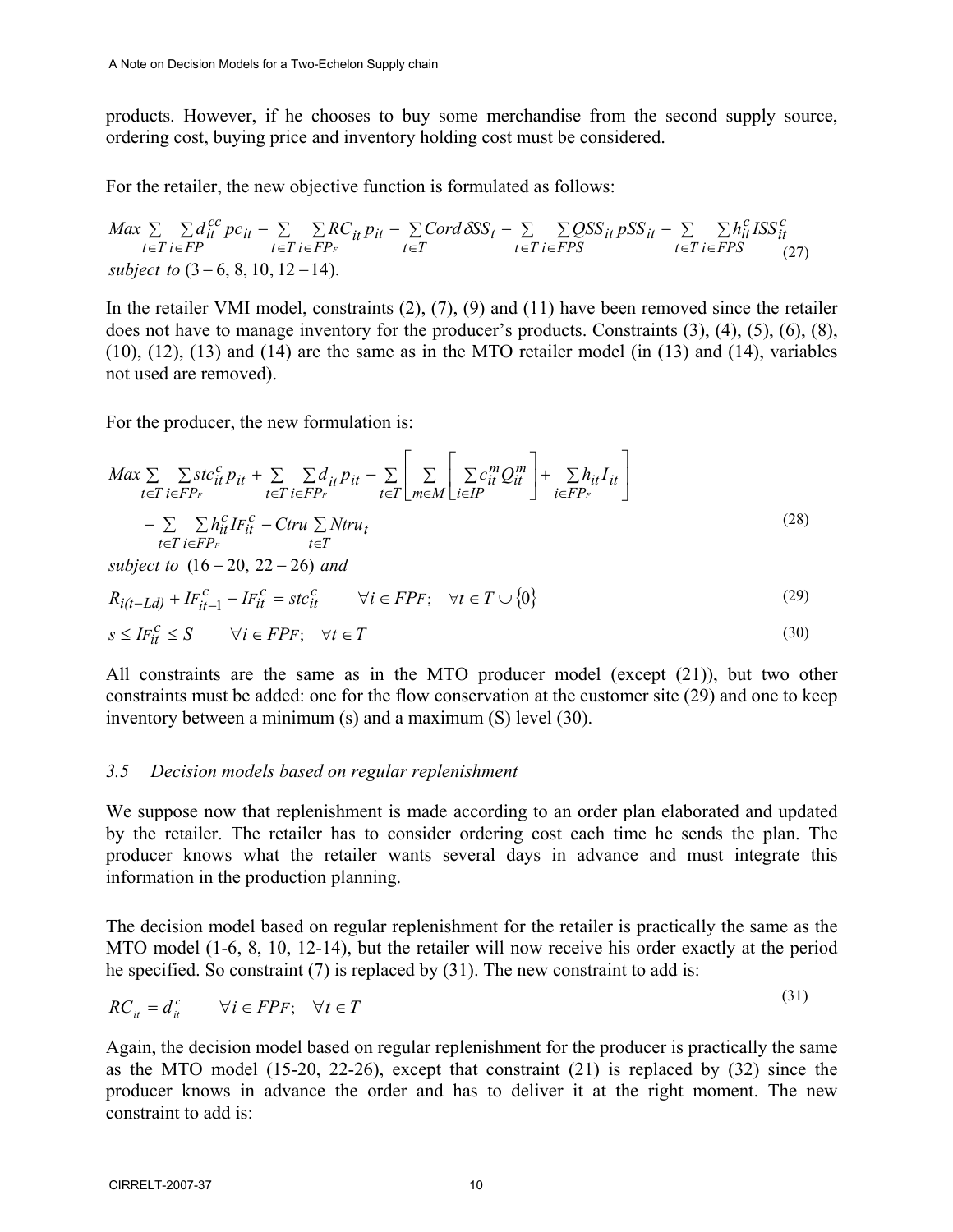products. However, if he chooses to buy some merchandise from the second supply source, ordering cost, buying price and inventory holding cost must be considered.

For the retailer, the new objective function is formulated as follows:

$$
Max \sum_{t \in T} \sum_{i \in FP} d_{it}^{cc} pc_{it} - \sum_{t \in T} \sum_{i \in FP_F} RC_{it} p_{it} - \sum_{t \in T} Cord \delta SS_t - \sum_{t \in T} \sum_{i \in FPS} QSS_{it} pSS_{it} - \sum_{t \in T} \sum_{i \in FPS} h_{it}^c ISS_{it}^c
$$
\n
$$
subject \ to \ (3-6, 8, 10, 12-14).
$$
\n
$$
(27)
$$

In the retailer VMI model, constraints (2), (7), (9) and (11) have been removed since the retailer does not have to manage inventory for the producer's products. Constraints (3), (4), (5), (6), (8), (10), (12), (13) and (14) are the same as in the MTO retailer model (in (13) and (14), variables not used are removed).

For the producer, the new formulation is:

$$
Max \sum_{t \in T} \sum_{i \in FP_F} stc_{it}^c p_{it} + \sum_{t \in T} \sum_{i \in FP_F} d_{it} p_{it} - \sum_{t \in T} \left[ \sum_{m \in M} \left[ \sum_{i \in IP} c_{it}^m Q_{it}^m \right] + \sum_{i \in FP_F} h_{it} I_{it} \right]
$$
  
- 
$$
\sum_{t \in T} \sum_{i \in FP_F} h_{it}^c I F_{it}^c - Ctru \sum_{t \in T} Ntru_t
$$
 (28)

 $subject to (16-20, 22-26) and$ 

$$
R_{i(t-Ld)} + I F_{it-1}^c - I F_{it}^c = st c_{it}^c \qquad \forall i \in FPF; \quad \forall t \in T \cup \{0\}
$$
\n
$$
(29)
$$

$$
s \le IF_{it}^c \le S \qquad \forall i \in FPF; \quad \forall t \in T
$$
\n
$$
(30)
$$

All constraints are the same as in the MTO producer model (except (21)), but two other constraints must be added: one for the flow conservation at the customer site (29) and one to keep inventory between a minimum (s) and a maximum (S) level (30).

#### *3.5 Decision models based on regular replenishment*

We suppose now that replenishment is made according to an order plan elaborated and updated by the retailer. The retailer has to consider ordering cost each time he sends the plan. The producer knows what the retailer wants several days in advance and must integrate this information in the production planning.

The decision model based on regular replenishment for the retailer is practically the same as the MTO model (1-6, 8, 10, 12-14), but the retailer will now receive his order exactly at the period he specified. So constraint (7) is replaced by (31). The new constraint to add is:

 $(21)$ 

$$
RC_{it} = d_{it}^c \qquad \forall i \in FPF; \quad \forall t \in T
$$
\n
$$
(31)
$$

Again, the decision model based on regular replenishment for the producer is practically the same as the MTO model (15-20, 22-26), except that constraint (21) is replaced by (32) since the producer knows in advance the order and has to deliver it at the right moment. The new constraint to add is: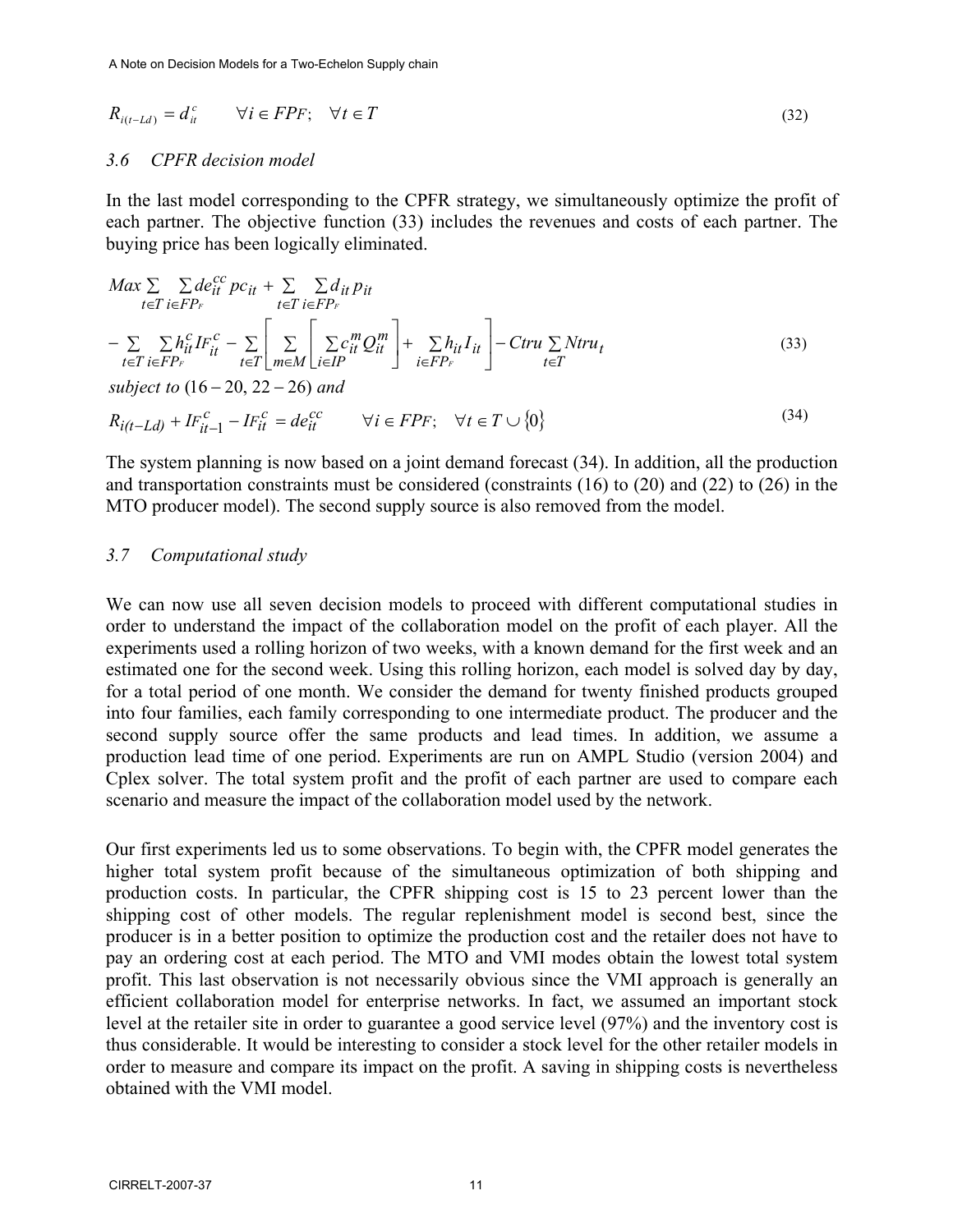$$
R_{i(t-Ld)} = d_{it}^c \qquad \forall i \in FPF; \quad \forall t \in T
$$
\n(32)

#### *3.6 CPFR decision model*

In the last model corresponding to the CPFR strategy, we simultaneously optimize the profit of each partner. The objective function (33) includes the revenues and costs of each partner. The buying price has been logically eliminated.

$$
Max \sum_{t \in T} \sum_{i \in FP_F} de_{it}^{cc} pc_{it} + \sum_{t \in T} \sum_{i \in FP_F} d_{it} p_{it}
$$
  
\n
$$
- \sum_{t \in T} \sum_{i \in FP_F} h_{it}^{c} I F_{it}^{c} - \sum_{t \in T} \left[ \sum_{m \in M} \sum_{i \in IP} c_{it}^{m} Q_{it}^{m} \right] + \sum_{i \in FP_F} h_{it} I_{it} \right] - C tru \sum N tr u_t
$$
  
\nsubject to (16 – 20, 22 – 26) and (33)

$$
R_{i(t-Ld)} + IF_{it-1}^c - IF_{it}^c = de_{it}^{cc} \qquad \forall i \in FPF; \quad \forall t \in T \cup \{0\}
$$
\n
$$
(34)
$$

The system planning is now based on a joint demand forecast (34). In addition, all the production and transportation constraints must be considered (constraints (16) to (20) and (22) to (26) in the MTO producer model). The second supply source is also removed from the model.

#### *3.7 Computational study*

We can now use all seven decision models to proceed with different computational studies in order to understand the impact of the collaboration model on the profit of each player. All the experiments used a rolling horizon of two weeks, with a known demand for the first week and an estimated one for the second week. Using this rolling horizon, each model is solved day by day, for a total period of one month. We consider the demand for twenty finished products grouped into four families, each family corresponding to one intermediate product. The producer and the second supply source offer the same products and lead times. In addition, we assume a production lead time of one period. Experiments are run on AMPL Studio (version 2004) and Cplex solver. The total system profit and the profit of each partner are used to compare each scenario and measure the impact of the collaboration model used by the network.

Our first experiments led us to some observations. To begin with, the CPFR model generates the higher total system profit because of the simultaneous optimization of both shipping and production costs. In particular, the CPFR shipping cost is 15 to 23 percent lower than the shipping cost of other models. The regular replenishment model is second best, since the producer is in a better position to optimize the production cost and the retailer does not have to pay an ordering cost at each period. The MTO and VMI modes obtain the lowest total system profit. This last observation is not necessarily obvious since the VMI approach is generally an efficient collaboration model for enterprise networks. In fact, we assumed an important stock level at the retailer site in order to guarantee a good service level (97%) and the inventory cost is thus considerable. It would be interesting to consider a stock level for the other retailer models in order to measure and compare its impact on the profit. A saving in shipping costs is nevertheless obtained with the VMI model.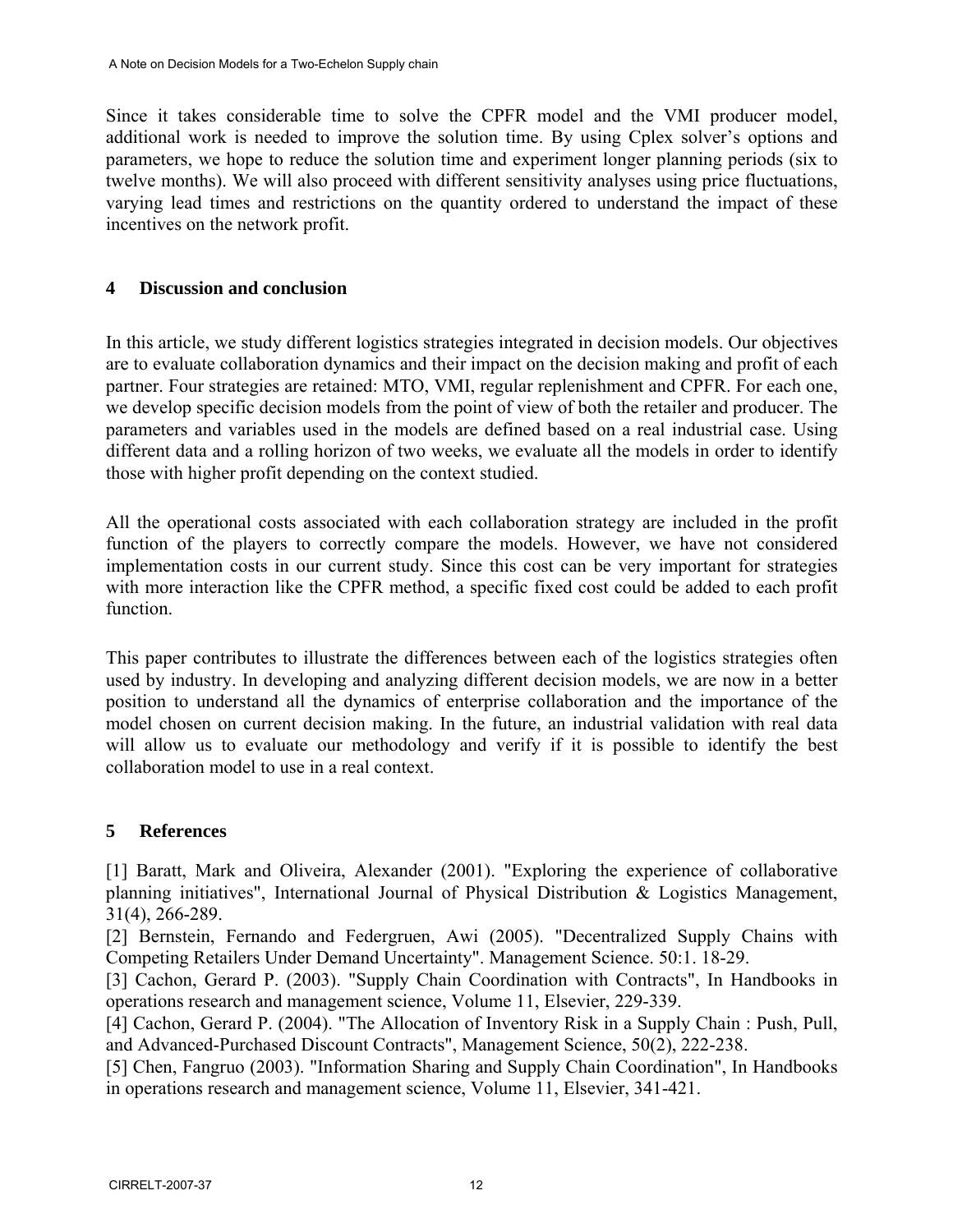Since it takes considerable time to solve the CPFR model and the VMI producer model, additional work is needed to improve the solution time. By using Cplex solver's options and parameters, we hope to reduce the solution time and experiment longer planning periods (six to twelve months). We will also proceed with different sensitivity analyses using price fluctuations, varying lead times and restrictions on the quantity ordered to understand the impact of these incentives on the network profit.

## **4 Discussion and conclusion**

In this article, we study different logistics strategies integrated in decision models. Our objectives are to evaluate collaboration dynamics and their impact on the decision making and profit of each partner. Four strategies are retained: MTO, VMI, regular replenishment and CPFR. For each one, we develop specific decision models from the point of view of both the retailer and producer. The parameters and variables used in the models are defined based on a real industrial case. Using different data and a rolling horizon of two weeks, we evaluate all the models in order to identify those with higher profit depending on the context studied.

All the operational costs associated with each collaboration strategy are included in the profit function of the players to correctly compare the models. However, we have not considered implementation costs in our current study. Since this cost can be very important for strategies with more interaction like the CPFR method, a specific fixed cost could be added to each profit function.

This paper contributes to illustrate the differences between each of the logistics strategies often used by industry. In developing and analyzing different decision models, we are now in a better position to understand all the dynamics of enterprise collaboration and the importance of the model chosen on current decision making. In the future, an industrial validation with real data will allow us to evaluate our methodology and verify if it is possible to identify the best collaboration model to use in a real context.

## **5 References**

[1] Baratt, Mark and Oliveira, Alexander (2001). "Exploring the experience of collaborative planning initiatives", International Journal of Physical Distribution & Logistics Management, 31(4), 266-289.

[2] Bernstein, Fernando and Federgruen, Awi (2005). "Decentralized Supply Chains with Competing Retailers Under Demand Uncertainty". Management Science. 50:1. 18-29.

[3] Cachon, Gerard P. (2003). "Supply Chain Coordination with Contracts", In Handbooks in operations research and management science, Volume 11, Elsevier, 229-339.

[4] Cachon, Gerard P. (2004). "The Allocation of Inventory Risk in a Supply Chain : Push, Pull, and Advanced-Purchased Discount Contracts", Management Science, 50(2), 222-238.

[5] Chen, Fangruo (2003). "Information Sharing and Supply Chain Coordination", In Handbooks in operations research and management science, Volume 11, Elsevier, 341-421.